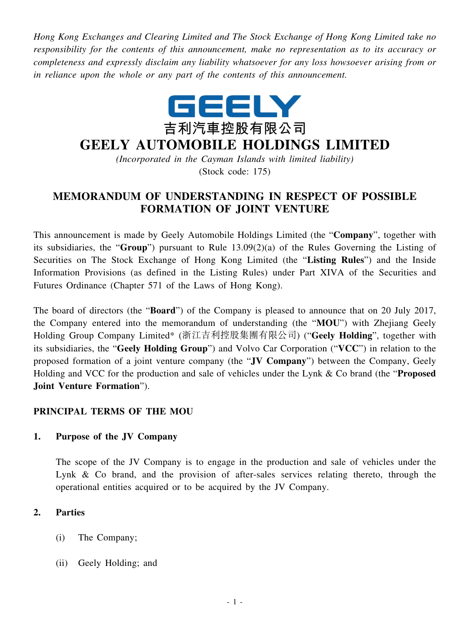*Hong Kong Exchanges and Clearing Limited and The Stock Exchange of Hong Kong Limited take no responsibility for the contents of this announcement, make no representation as to its accuracy or completeness and expressly disclaim any liability whatsoever for any loss howsoever arising from or in reliance upon the whole or any part of the contents of this announcement.*



# **GEELY AUTOMOBILE HOLDINGS LIMITED**

*(Incorporated in the Cayman Islands with limited liability)* (Stock code: 175)

## **MEMORANDUM OF UNDERSTANDING IN RESPECT OF POSSIBLE FORMATION OF JOINT VENTURE**

This announcement is made by Geely Automobile Holdings Limited (the "**Company**", together with its subsidiaries, the "**Group**") pursuant to Rule 13.09(2)(a) of the Rules Governing the Listing of Securities on The Stock Exchange of Hong Kong Limited (the "**Listing Rules**") and the Inside Information Provisions (as defined in the Listing Rules) under Part XIVA of the Securities and Futures Ordinance (Chapter 571 of the Laws of Hong Kong).

The board of directors (the "**Board**") of the Company is pleased to announce that on 20 July 2017, the Company entered into the memorandum of understanding (the "**MOU**") with Zhejiang Geely Holding Group Company Limited\* (浙江吉利控股集團有限公司) ("**Geely Holding**", together with its subsidiaries, the "**Geely Holding Group**") and Volvo Car Corporation ("**VCC**") in relation to the proposed formation of a joint venture company (the "**JV Company**") between the Company, Geely Holding and VCC for the production and sale of vehicles under the Lynk & Co brand (the "**Proposed Joint Venture Formation**").

## **PRINCIPAL TERMS OF THE MOU**

## **1. Purpose of the JV Company**

The scope of the JV Company is to engage in the production and sale of vehicles under the Lynk & Co brand, and the provision of after-sales services relating thereto, through the operational entities acquired or to be acquired by the JV Company.

## **2. Parties**

- (i) The Company;
- (ii) Geely Holding; and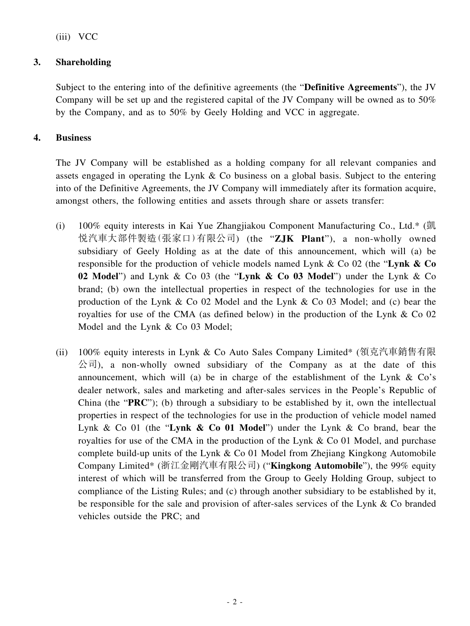(iii) VCC

## **3. Shareholding**

Subject to the entering into of the definitive agreements (the "**Definitive Agreements**"), the JV Company will be set up and the registered capital of the JV Company will be owned as to 50% by the Company, and as to 50% by Geely Holding and VCC in aggregate.

## **4. Business**

The JV Company will be established as a holding company for all relevant companies and assets engaged in operating the Lynk & Co business on a global basis. Subject to the entering into of the Definitive Agreements, the JV Company will immediately after its formation acquire, amongst others, the following entities and assets through share or assets transfer:

- (i) 100% equity interests in Kai Yue Zhangjiakou Component Manufacturing Co., Ltd.\* (凱 悅汽車大部件製造(張家口)有限公司) (the "**ZJK Plant**"), a non-wholly owned subsidiary of Geely Holding as at the date of this announcement, which will (a) be responsible for the production of vehicle models named Lynk & Co 02 (the "**Lynk & Co 02 Model**") and Lynk & Co 03 (the "**Lynk & Co 03 Model**") under the Lynk & Co brand; (b) own the intellectual properties in respect of the technologies for use in the production of the Lynk & Co 02 Model and the Lynk & Co 03 Model; and (c) bear the royalties for use of the CMA (as defined below) in the production of the Lynk & Co 02 Model and the Lynk & Co 03 Model;
- (ii) 100% equity interests in Lynk & Co Auto Sales Company Limited\* (領克汽車銷售有限  $\Diamond$ 司), a non-wholly owned subsidiary of the Company as at the date of this announcement, which will (a) be in charge of the establishment of the Lynk  $\&$  Co's dealer network, sales and marketing and after-sales services in the People's Republic of China (the "**PRC**"); (b) through a subsidiary to be established by it, own the intellectual properties in respect of the technologies for use in the production of vehicle model named Lynk & Co 01 (the "**Lynk & Co 01 Model**") under the Lynk & Co brand, bear the royalties for use of the CMA in the production of the Lynk & Co 01 Model, and purchase complete build-up units of the Lynk & Co 01 Model from Zhejiang Kingkong Automobile Company Limited\* (浙江金剛汽車有限公司) ("**Kingkong Automobile**"), the 99% equity interest of which will be transferred from the Group to Geely Holding Group, subject to compliance of the Listing Rules; and (c) through another subsidiary to be established by it, be responsible for the sale and provision of after-sales services of the Lynk & Co branded vehicles outside the PRC; and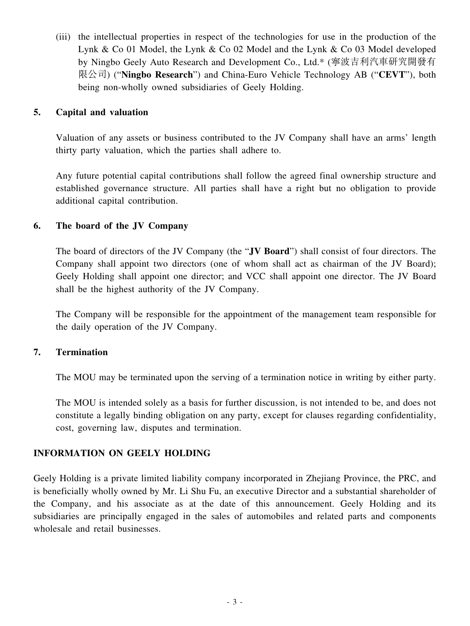(iii) the intellectual properties in respect of the technologies for use in the production of the Lynk & Co 01 Model, the Lynk & Co 02 Model and the Lynk & Co 03 Model developed by Ningbo Geely Auto Research and Development Co., Ltd.\* (寧波吉利汽車研究開發有 限公司) ("**Ningbo Research**") and China-Euro Vehicle Technology AB ("**CEVT**"), both being non-wholly owned subsidiaries of Geely Holding.

#### **5. Capital and valuation**

Valuation of any assets or business contributed to the JV Company shall have an arms' length thirty party valuation, which the parties shall adhere to.

Any future potential capital contributions shall follow the agreed final ownership structure and established governance structure. All parties shall have a right but no obligation to provide additional capital contribution.

## **6. The board of the JV Company**

The board of directors of the JV Company (the "**JV Board**") shall consist of four directors. The Company shall appoint two directors (one of whom shall act as chairman of the JV Board); Geely Holding shall appoint one director; and VCC shall appoint one director. The JV Board shall be the highest authority of the JV Company.

The Company will be responsible for the appointment of the management team responsible for the daily operation of the JV Company.

#### **7. Termination**

The MOU may be terminated upon the serving of a termination notice in writing by either party.

The MOU is intended solely as a basis for further discussion, is not intended to be, and does not constitute a legally binding obligation on any party, except for clauses regarding confidentiality, cost, governing law, disputes and termination.

## **INFORMATION ON GEELY HOLDING**

Geely Holding is a private limited liability company incorporated in Zhejiang Province, the PRC, and is beneficially wholly owned by Mr. Li Shu Fu, an executive Director and a substantial shareholder of the Company, and his associate as at the date of this announcement. Geely Holding and its subsidiaries are principally engaged in the sales of automobiles and related parts and components wholesale and retail businesses.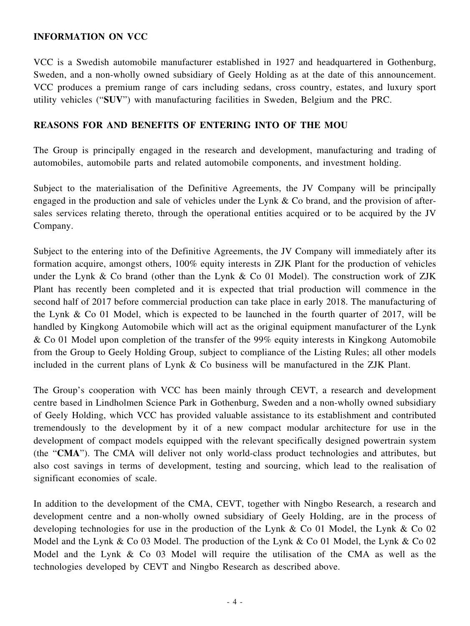#### **INFORMATION ON VCC**

VCC is a Swedish automobile manufacturer established in 1927 and headquartered in Gothenburg, Sweden, and a non-wholly owned subsidiary of Geely Holding as at the date of this announcement. VCC produces a premium range of cars including sedans, cross country, estates, and luxury sport utility vehicles ("**SUV**") with manufacturing facilities in Sweden, Belgium and the PRC.

#### **REASONS FOR AND BENEFITS OF ENTERING INTO OF THE MOU**

The Group is principally engaged in the research and development, manufacturing and trading of automobiles, automobile parts and related automobile components, and investment holding.

Subject to the materialisation of the Definitive Agreements, the JV Company will be principally engaged in the production and sale of vehicles under the Lynk & Co brand, and the provision of aftersales services relating thereto, through the operational entities acquired or to be acquired by the JV Company.

Subject to the entering into of the Definitive Agreements, the JV Company will immediately after its formation acquire, amongst others, 100% equity interests in ZJK Plant for the production of vehicles under the Lynk & Co brand (other than the Lynk & Co 01 Model). The construction work of ZJK Plant has recently been completed and it is expected that trial production will commence in the second half of 2017 before commercial production can take place in early 2018. The manufacturing of the Lynk & Co 01 Model, which is expected to be launched in the fourth quarter of 2017, will be handled by Kingkong Automobile which will act as the original equipment manufacturer of the Lynk & Co 01 Model upon completion of the transfer of the 99% equity interests in Kingkong Automobile from the Group to Geely Holding Group, subject to compliance of the Listing Rules; all other models included in the current plans of Lynk & Co business will be manufactured in the ZJK Plant.

The Group's cooperation with VCC has been mainly through CEVT, a research and development centre based in Lindholmen Science Park in Gothenburg, Sweden and a non-wholly owned subsidiary of Geely Holding, which VCC has provided valuable assistance to its establishment and contributed tremendously to the development by it of a new compact modular architecture for use in the development of compact models equipped with the relevant specifically designed powertrain system (the "**CMA**"). The CMA will deliver not only world-class product technologies and attributes, but also cost savings in terms of development, testing and sourcing, which lead to the realisation of significant economies of scale.

In addition to the development of the CMA, CEVT, together with Ningbo Research, a research and development centre and a non-wholly owned subsidiary of Geely Holding, are in the process of developing technologies for use in the production of the Lynk & Co 01 Model, the Lynk & Co 02 Model and the Lynk & Co 03 Model. The production of the Lynk & Co 01 Model, the Lynk & Co 02 Model and the Lynk & Co 03 Model will require the utilisation of the CMA as well as the technologies developed by CEVT and Ningbo Research as described above.